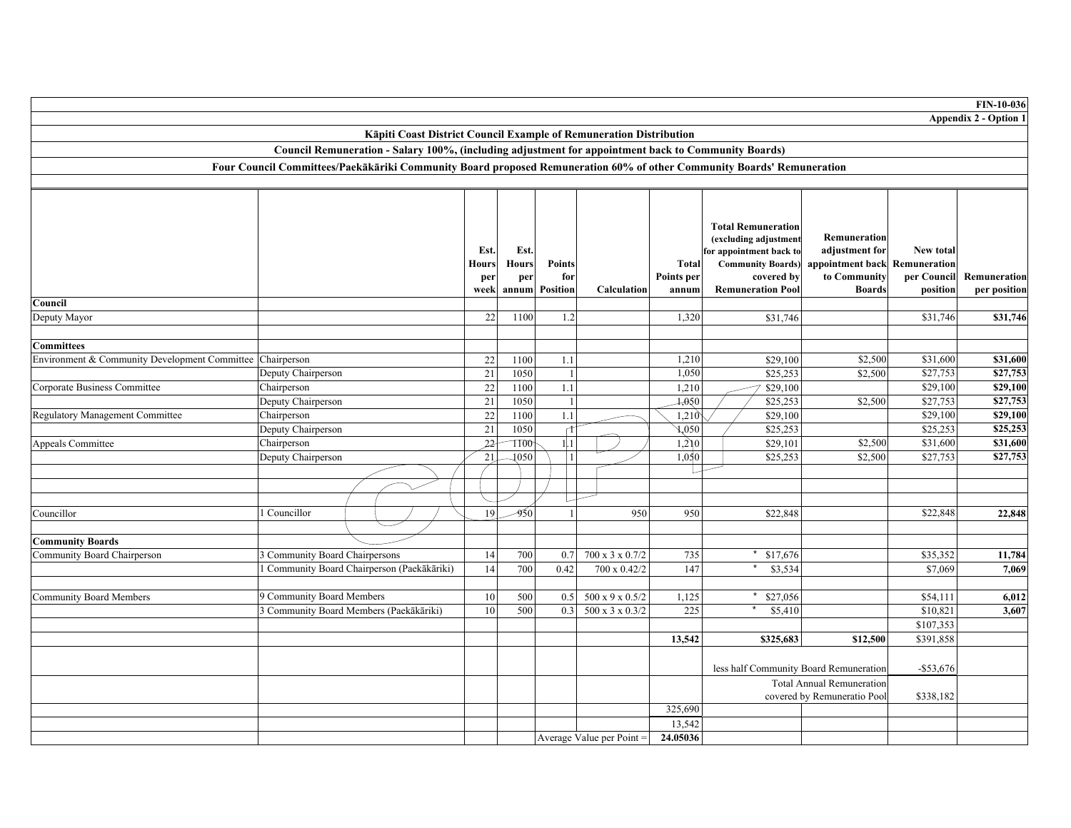|                                                           |                                                                                                                       |                                                                    |                                     |                                      |                                         |                                                |                              |                                                                                                                                                     |                                                                                                  |                                      | <b>FIN-10-036</b>            |
|-----------------------------------------------------------|-----------------------------------------------------------------------------------------------------------------------|--------------------------------------------------------------------|-------------------------------------|--------------------------------------|-----------------------------------------|------------------------------------------------|------------------------------|-----------------------------------------------------------------------------------------------------------------------------------------------------|--------------------------------------------------------------------------------------------------|--------------------------------------|------------------------------|
|                                                           |                                                                                                                       |                                                                    |                                     |                                      |                                         |                                                |                              |                                                                                                                                                     |                                                                                                  |                                      | Appendix 2 - Option 1        |
|                                                           |                                                                                                                       | Kāpiti Coast District Council Example of Remuneration Distribution |                                     |                                      |                                         |                                                |                              |                                                                                                                                                     |                                                                                                  |                                      |                              |
|                                                           | Council Remuneration - Salary 100%, (including adjustment for appointment back to Community Boards)                   |                                                                    |                                     |                                      |                                         |                                                |                              |                                                                                                                                                     |                                                                                                  |                                      |                              |
|                                                           | Four Council Committees/Paekākāriki Community Board proposed Remuneration 60% of other Community Boards' Remuneration |                                                                    |                                     |                                      |                                         |                                                |                              |                                                                                                                                                     |                                                                                                  |                                      |                              |
|                                                           |                                                                                                                       |                                                                    |                                     |                                      |                                         |                                                |                              |                                                                                                                                                     |                                                                                                  |                                      |                              |
|                                                           |                                                                                                                       |                                                                    |                                     |                                      |                                         |                                                |                              |                                                                                                                                                     |                                                                                                  |                                      |                              |
|                                                           |                                                                                                                       |                                                                    | Est.<br><b>Hours</b><br>per<br>week | Est.<br><b>Hours</b><br>per<br>annum | <b>Points</b><br>for<br><b>Position</b> | Calculation                                    | Total<br>Points per<br>annum | <b>Total Remuneration</b><br>(excluding adjustment<br>for appointment back to<br><b>Community Boards)</b><br>covered by<br><b>Remuneration Pool</b> | Remuneration<br>adjustment for<br>appointment back Remuneration<br>to Community<br><b>Boards</b> | New total<br>per Council<br>position | Remuneration<br>per position |
| Council                                                   |                                                                                                                       |                                                                    |                                     |                                      |                                         |                                                |                              |                                                                                                                                                     |                                                                                                  |                                      |                              |
| Deputy Mayor                                              |                                                                                                                       |                                                                    | 22                                  | 1100                                 | 1.2                                     |                                                | 1,320                        | \$31,746                                                                                                                                            |                                                                                                  | \$31,746                             | \$31,746                     |
|                                                           |                                                                                                                       |                                                                    |                                     |                                      |                                         |                                                |                              |                                                                                                                                                     |                                                                                                  |                                      |                              |
| <b>Committees</b>                                         |                                                                                                                       |                                                                    |                                     |                                      |                                         |                                                |                              |                                                                                                                                                     |                                                                                                  |                                      |                              |
| Environment & Community Development Committee Chairperson | Deputy Chairperson                                                                                                    |                                                                    | $22\,$<br>21                        | 1100<br>1050                         | 1.1<br>$\mathbf{1}$                     |                                                | 1,210<br>1,050               | \$29,100                                                                                                                                            | \$2,500<br>\$2,500                                                                               | \$31,600<br>\$27,753                 | \$31,600<br>\$27,753         |
|                                                           | Chairperson                                                                                                           |                                                                    | 22                                  | 1100                                 | $1.1\,$                                 |                                                | 1,210                        | \$25,253                                                                                                                                            |                                                                                                  | \$29,100                             | \$29,100                     |
| Corporate Business Committee                              | Deputy Chairperson                                                                                                    |                                                                    | 21                                  | 1050                                 | $\vert$                                 |                                                | 4,050                        | \$29,100<br>\$25,253                                                                                                                                | \$2,500                                                                                          | \$27,753                             | \$27,753                     |
| <b>Regulatory Management Committee</b>                    | Chairperson                                                                                                           |                                                                    | $\overline{22}$                     | 1100                                 | $1.1\,$                                 |                                                | 1,210                        | \$29,100                                                                                                                                            |                                                                                                  | \$29,100                             | \$29,100                     |
|                                                           | Deputy Chairperson                                                                                                    |                                                                    | $21\,$                              | 1050                                 | r                                       |                                                | $\sqrt{0.50}$                | \$25,253                                                                                                                                            |                                                                                                  | \$25,253                             | \$25,253                     |
| <b>Appeals Committee</b>                                  | Chairperson                                                                                                           |                                                                    | $22 -$                              | 1100                                 | $1\vert 1$                              |                                                | 1,2)0                        | \$29,101                                                                                                                                            | \$2,500                                                                                          | \$31,600                             | \$31,600                     |
|                                                           | Deputy Chairperson                                                                                                    |                                                                    | 21                                  | 1050                                 | $\mathbf{1}$                            |                                                | 1,050                        | \$25,253                                                                                                                                            | \$2,500                                                                                          | \$27,753                             | \$27,753                     |
|                                                           |                                                                                                                       |                                                                    |                                     |                                      |                                         |                                                |                              |                                                                                                                                                     |                                                                                                  |                                      |                              |
|                                                           |                                                                                                                       |                                                                    |                                     |                                      |                                         |                                                |                              |                                                                                                                                                     |                                                                                                  |                                      |                              |
|                                                           |                                                                                                                       |                                                                    |                                     |                                      |                                         |                                                |                              |                                                                                                                                                     |                                                                                                  |                                      |                              |
| Councillor                                                | l Councillor                                                                                                          |                                                                    | 19                                  | -950                                 |                                         | 950                                            | 950                          | \$22,848                                                                                                                                            |                                                                                                  | \$22,848                             | 22,848                       |
|                                                           |                                                                                                                       |                                                                    |                                     |                                      |                                         |                                                |                              |                                                                                                                                                     |                                                                                                  |                                      |                              |
| <b>Community Boards</b>                                   |                                                                                                                       |                                                                    |                                     |                                      |                                         |                                                |                              |                                                                                                                                                     |                                                                                                  |                                      |                              |
| Community Board Chairperson                               | 3 Community Board Chairpersons                                                                                        |                                                                    | 14                                  | 700                                  | 0.7                                     | 700 x 3 x 0.7/2                                | 735                          | \$17,676                                                                                                                                            |                                                                                                  | \$35,352                             | 11,784                       |
|                                                           | 1 Community Board Chairperson (Paekākāriki)                                                                           |                                                                    | 14                                  | 700                                  | 0.42                                    | 700 x 0.42/2                                   | 147                          | \$3,534                                                                                                                                             |                                                                                                  | \$7,069                              | 7.069                        |
|                                                           |                                                                                                                       |                                                                    |                                     |                                      |                                         |                                                |                              |                                                                                                                                                     |                                                                                                  |                                      |                              |
| <b>Community Board Members</b>                            | 9 Community Board Members<br>3 Community Board Members (Paekākāriki)                                                  |                                                                    | 10<br>10                            | 500<br>500                           |                                         | $0.5$ 500 x 9 x 0.5/2<br>$0.3$ 500 x 3 x 0.3/2 | 1,125<br>225                 | \$27,056<br>\$5,410                                                                                                                                 |                                                                                                  | \$54,111<br>\$10,821                 | 6,012<br>3,607               |
|                                                           |                                                                                                                       |                                                                    |                                     |                                      |                                         |                                                |                              |                                                                                                                                                     |                                                                                                  | \$107,353                            |                              |
|                                                           |                                                                                                                       |                                                                    |                                     |                                      |                                         |                                                | 13,542                       | \$325,683                                                                                                                                           | \$12,500                                                                                         | \$391,858                            |                              |
|                                                           |                                                                                                                       |                                                                    |                                     |                                      |                                         |                                                |                              |                                                                                                                                                     |                                                                                                  |                                      |                              |
|                                                           |                                                                                                                       |                                                                    |                                     |                                      |                                         |                                                |                              | less half Community Board Remuneration                                                                                                              |                                                                                                  | $-$ \$53,676                         |                              |
|                                                           |                                                                                                                       |                                                                    |                                     |                                      |                                         |                                                |                              |                                                                                                                                                     | <b>Total Annual Remuneration</b>                                                                 |                                      |                              |
|                                                           |                                                                                                                       |                                                                    |                                     |                                      |                                         |                                                |                              |                                                                                                                                                     | covered by Remuneratio Pool                                                                      | \$338,182                            |                              |
|                                                           |                                                                                                                       |                                                                    |                                     |                                      |                                         |                                                | 325,690                      |                                                                                                                                                     |                                                                                                  |                                      |                              |
|                                                           |                                                                                                                       |                                                                    |                                     |                                      |                                         |                                                | 13,542                       |                                                                                                                                                     |                                                                                                  |                                      |                              |
|                                                           |                                                                                                                       |                                                                    |                                     |                                      |                                         | Average Value per Point =                      | 24.05036                     |                                                                                                                                                     |                                                                                                  |                                      |                              |